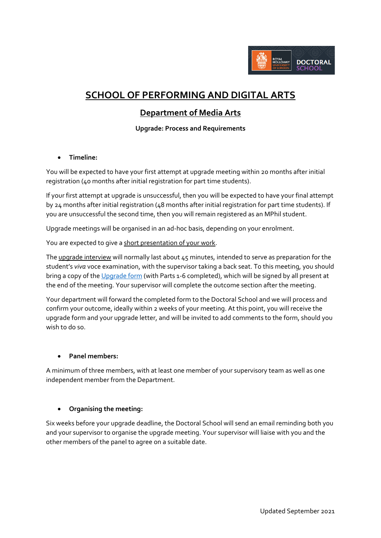

# **SCHOOL OF PERFORMING AND DIGITAL ARTS**

## **Department of Media Arts**

### **Upgrade: Process and Requirements**

#### • **Timeline:**

You will be expected to have your first attempt at upgrade meeting within 20 months after initial registration (40 months after initial registration for part time students).

If your first attempt at upgrade is unsuccessful, then you will be expected to have your final attempt by 24 months after initial registration (48 months after initial registration for part time students). If you are unsuccessful the second time, then you will remain registered as an MPhil student.

Upgrade meetings will be organised in an ad-hoc basis, depending on your enrolment.

You are expected to give a short presentation of your work.

The upgrade interview will normally last about 45 minutes, intended to serve as preparation for the student's *viva* voce examination, with the supervisor taking a back seat. To this meeting, you should bring a copy of th[e Upgrade form](https://intranet.royalholloway.ac.uk/doctoral-school/assets/docs/doc/upgrade-form.docx) (with Parts 1-6 completed), which will be signed by all present at the end of the meeting. Your supervisor will complete the outcome section after the meeting.

Your department will forward the completed form to the Doctoral School and we will process and confirm your outcome, ideally within 2 weeks of your meeting. At this point, you will receive the upgrade form and your upgrade letter, and will be invited to add comments to the form, should you wish to do so.

#### • **Panel members:**

A minimum of three members, with at least one member of your supervisory team as well as one independent member from the Department.

#### • **Organising the meeting:**

Six weeks before your upgrade deadline, the Doctoral School will send an email reminding both you and your supervisor to organise the upgrade meeting. Your supervisor will liaise with you and the other members of the panel to agree on a suitable date.